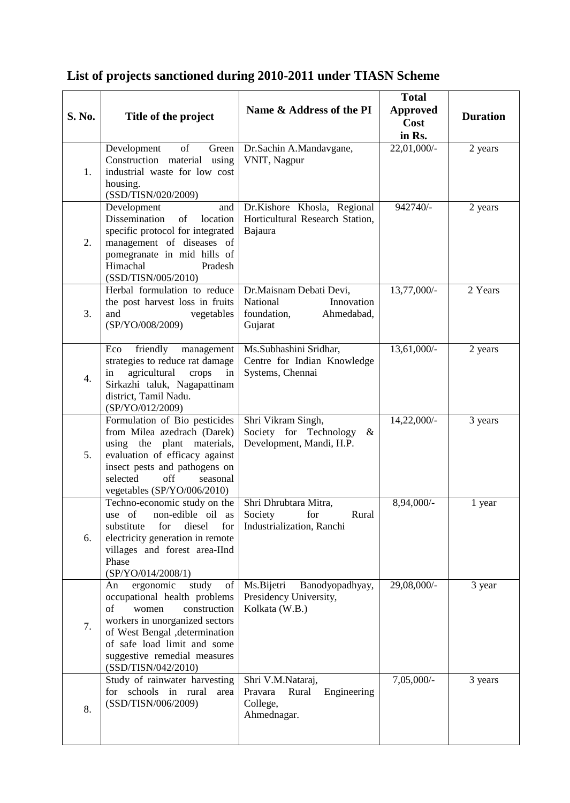## **List of projects sanctioned during 2010-2011 under TIASN Scheme**

| S. No. | Title of the project                                                                                                                                                                                                                                    | Name & Address of the PI                                                                  | <b>Total</b><br><b>Approved</b><br>Cost<br>in Rs. | <b>Duration</b> |
|--------|---------------------------------------------------------------------------------------------------------------------------------------------------------------------------------------------------------------------------------------------------------|-------------------------------------------------------------------------------------------|---------------------------------------------------|-----------------|
| 1.     | of<br>Development<br>Green<br>Construction material using<br>industrial waste for low cost<br>housing.<br>(SSD/TISN/020/2009)                                                                                                                           | Dr.Sachin A.Mandavgane,<br>VNIT, Nagpur                                                   | 22,01,000/-                                       | 2 years         |
| 2.     | Development<br>and<br>Dissemination<br>location<br>of<br>specific protocol for integrated<br>management of diseases of<br>pomegranate in mid hills of<br>Himachal<br>Pradesh<br>(SSD/TISN/005/2010)                                                     | Dr.Kishore Khosla, Regional<br>Horticultural Research Station,<br>Bajaura                 | 942740/-                                          | 2 years         |
| 3.     | Herbal formulation to reduce<br>the post harvest loss in fruits<br>and<br>vegetables<br>(SP/YO/008/2009)                                                                                                                                                | Dr.Maisnam Debati Devi,<br>National<br>Innovation<br>foundation,<br>Ahmedabad,<br>Gujarat | 13,77,000/-                                       | 2 Years         |
| 4.     | friendly<br>Eco<br>management<br>strategies to reduce rat damage<br>agricultural<br>crops<br>in<br>in<br>Sirkazhi taluk, Nagapattinam<br>district, Tamil Nadu.<br>(SP/YO/012/2009)                                                                      | Ms.Subhashini Sridhar,<br>Centre for Indian Knowledge<br>Systems, Chennai                 | 13,61,000/-                                       | 2 years         |
| 5.     | Formulation of Bio pesticides<br>from Milea azedrach (Darek)<br>using the plant materials,<br>evaluation of efficacy against<br>insect pests and pathogens on<br>selected<br>off<br>seasonal<br>vegetables (SP/YO/006/2010)                             | Shri Vikram Singh,<br>Society for Technology<br>$\&$<br>Development, Mandi, H.P.          | 14,22,000/-                                       | 3 years         |
| 6.     | Techno-economic study on the<br>use of non-edible oil as<br>for<br>diesel<br>substitute<br>for<br>electricity generation in remote<br>villages and forest area-IInd<br>Phase<br>(SP/YO/014/2008/1)                                                      | Shri Dhrubtara Mitra,<br>Society for<br>Rural<br>Industrialization, Ranchi                | 8,94,000/-                                        | 1 year          |
| 7.     | ergonomic<br>of<br>study<br>An<br>occupational health problems<br>of<br>construction<br>women<br>workers in unorganized sectors<br>of West Bengal , determination<br>of safe load limit and some<br>suggestive remedial measures<br>(SSD/TISN/042/2010) | Ms.Bijetri<br>Banodyopadhyay,<br>Presidency University,<br>Kolkata (W.B.)                 | 29,08,000/-                                       | 3 year          |
| 8.     | Study of rainwater harvesting<br>for schools in rural<br>area<br>(SSD/TISN/006/2009)                                                                                                                                                                    | Shri V.M.Nataraj,<br>Engineering<br>Pravara<br>Rural<br>College,<br>Ahmednagar.           | $7,05,000/-$                                      | 3 years         |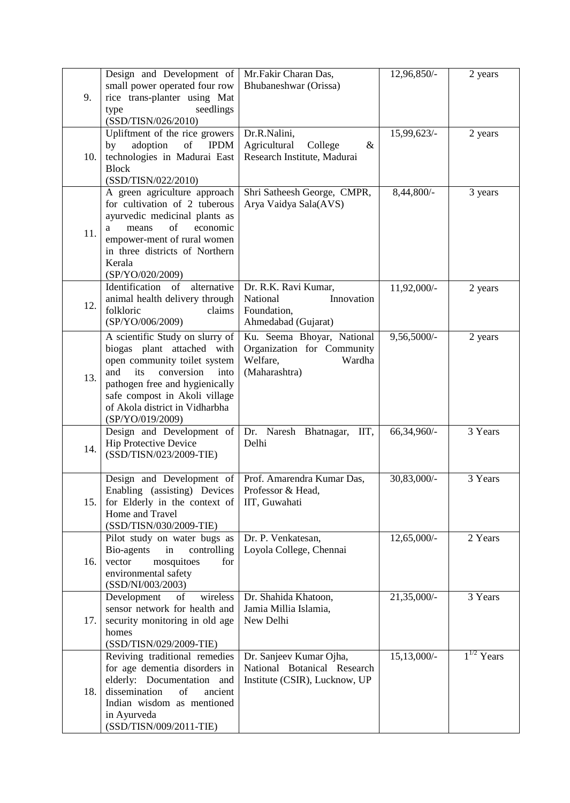| 9.  | Design and Development of<br>small power operated four row<br>rice trans-planter using Mat<br>seedlings<br>type                                                                                                                                            | Mr.Fakir Charan Das,<br>Bhubaneshwar (Orissa)                                                   | 12,96,850/-              | 2 years                            |
|-----|------------------------------------------------------------------------------------------------------------------------------------------------------------------------------------------------------------------------------------------------------------|-------------------------------------------------------------------------------------------------|--------------------------|------------------------------------|
| 10. | (SSD/TISN/026/2010)<br>Upliftment of the rice growers<br>adoption<br>of<br>by<br><b>IPDM</b><br>technologies in Madurai East<br><b>Block</b>                                                                                                               | Dr.R.Nalini,<br>Agricultural<br>College<br>$\&$<br>Research Institute, Madurai                  | 15,99,623/-              | 2 years                            |
| 11. | (SSD/TISN/022/2010)<br>A green agriculture approach<br>for cultivation of 2 tuberous<br>ayurvedic medicinal plants as<br>of<br>economic<br>means<br>a<br>empower-ment of rural women<br>in three districts of Northern<br>Kerala<br>(SP/YO/020/2009)       | Shri Satheesh George, CMPR,<br>Arya Vaidya Sala(AVS)                                            | 8,44,800/-               | 3 years                            |
| 12. | Identification<br>of<br>alternative<br>animal health delivery through<br>folkloric<br>claims<br>(SP/YO/006/2009)                                                                                                                                           | Dr. R.K. Ravi Kumar,<br>Innovation<br>National<br>Foundation,<br>Ahmedabad (Gujarat)            | 11,92,000/-              | 2 years                            |
| 13. | A scientific Study on slurry of<br>biogas plant attached with<br>open community toilet system<br>and<br>its<br>conversion<br>into<br>pathogen free and hygienically<br>safe compost in Akoli village<br>of Akola district in Vidharbha<br>(SP/YO/019/2009) | Ku. Seema Bhoyar, National<br>Organization for Community<br>Welfare,<br>Wardha<br>(Maharashtra) | 9,56,5000/-              | 2 years                            |
| 14. | Design and Development of<br><b>Hip Protective Device</b><br>(SSD/TISN/023/2009-TIE)                                                                                                                                                                       | Dr. Naresh Bhatnagar,<br>IIT,<br>Delhi                                                          | 66,34,960/-              | 3 Years                            |
|     | Design and Development of<br>Enabling (assisting) Devices<br>15. for Elderly in the context of<br>Home and Travel<br>(SSD/TISN/030/2009-TIE)                                                                                                               | Prof. Amarendra Kumar Das,<br>Professor & Head,<br>IIT, Guwahati                                | 30,83,000/-              | 3 Years                            |
| 16. | Pilot study on water bugs as<br>Bio-agents<br>controlling<br>in<br>mosquitoes<br>vector<br>for<br>environmental safety<br>(SSD/NI/003/2003)                                                                                                                | Dr. P. Venkatesan,<br>Loyola College, Chennai                                                   | 12,65,000/-              | 2 Years                            |
| 17. | Development<br>of<br>wireless<br>sensor network for health and<br>security monitoring in old age<br>homes<br>(SSD/TISN/029/2009-TIE)                                                                                                                       | Dr. Shahida Khatoon,<br>Jamia Millia Islamia,<br>New Delhi                                      | $21,35,000$ <sup>-</sup> | 3 Years                            |
| 18. | Reviving traditional remedies<br>for age dementia disorders in<br>elderly: Documentation and<br>dissemination<br>of<br>ancient<br>Indian wisdom as mentioned<br>in Ayurveda<br>(SSD/TISN/009/2011-TIE)                                                     | Dr. Sanjeev Kumar Ojha,<br>National Botanical Research<br>Institute (CSIR), Lucknow, UP         | 15,13,000/-              | $\overline{1^{1/2} \text{Y}}$ ears |